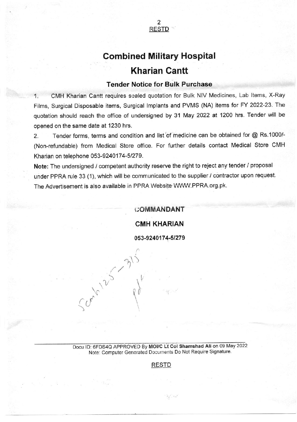

## **Combined Military Hospital** Kharian Cantt

## Tender Notice for Bulk Purchase

1. CMH Kharian Cantt requires sealed quotation for Bulk NIV Medicines, Lab Items, X-Ray Films, Surgical Disposable items, Surgical lmplants and PVMS (NA) items for FY 2022-23. The quotation should reach the office of undersigned by 31 May 2022 at 1200 hrs. Tender will be opened on the same date at 1230 hrs.

2. Tender forms, terms and condition and list'of medicine can be obtained for @ Rs 1000/- (Non+efundable) from Medical Store office. For further details contact Medical Store CMH Kharian on telephone 053-9240174-51279.

Note: The undersigned / competent authority reserve the right to reject any tender / proposal under PPRA rule 33 (1), which will be communicated to the supplier / contractor upon request. The Advertisement is also available in PPRA Website WWW.PPRA.org.pk.

## r;Oh/IMANDANT

CMH KHARIAN

053-9240174-5t279

 $\frac{1}{2}$ 

 $\gamma \rangle$ 

 $\setminus$ 

 $5 \frac{1}{2}$ 

 $\lambda'$ 

 $\partial_{\alpha}$ 

Docu ID: 6FDS4Q APPROVED By MOI/C Lt Col Shamshad Ali on 09 May 2022 Note: Computer Generated Documents Do Not Require Signature.

## RESTD

 $\mathcal{H}^{\text{C}}_{\text{A}}$  , we